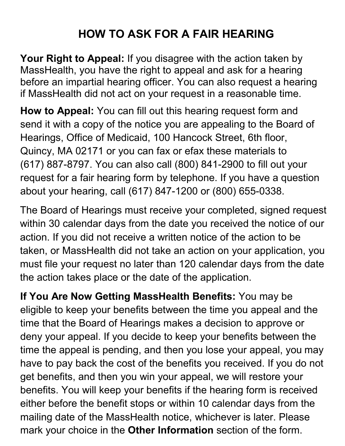# **HOW TO ASK FOR A FAIR HEARING**

**Your Right to Appeal:** If you disagree with the action taken by MassHealth, you have the right to appeal and ask for a hearing before an impartial hearing officer. You can also request a hearing if MassHealth did not act on your request in a reasonable time.

**How to Appeal:** You can fill out this hearing request form and send it with a copy of the notice you are appealing to the Board of Hearings, Office of Medicaid, 100 Hancock Street, 6th floor, Quincy, MA 02171 or you can fax or efax these materials to (617) 887-8797. You can also call (800) 841-2900 to fill out your request for a fair hearing form by telephone. If you have a question about your hearing, call (617) 847-1200 or (800) 655-0338.

The Board of Hearings must receive your completed, signed request within 30 calendar days from the date you received the notice of our action. If you did not receive a written notice of the action to be taken, or MassHealth did not take an action on your application, you must file your request no later than 120 calendar days from the date the action takes place or the date of the application.

**If You Are Now Getting MassHealth Benefits:** You may be eligible to keep your benefits between the time you appeal and the time that the Board of Hearings makes a decision to approve or deny your appeal. If you decide to keep your benefits between the time the appeal is pending, and then you lose your appeal, you may have to pay back the cost of the benefits you received. If you do not get benefits, and then you win your appeal, we will restore your benefits. You will keep your benefits if the hearing form is received either before the benefit stops or within 10 calendar days from the mailing date of the MassHealth notice, whichever is later. Please mark your choice in the **Other Information** section of the form.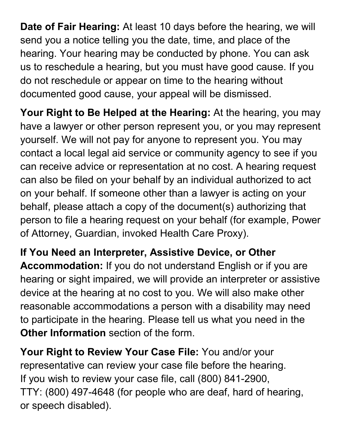**Date of Fair Hearing:** At least 10 days before the hearing, we will send you a notice telling you the date, time, and place of the hearing. Your hearing may be conducted by phone. You can ask us to reschedule a hearing, but you must have good cause. If you do not reschedule or appear on time to the hearing without documented good cause, your appeal will be dismissed.

**Your Right to Be Helped at the Hearing:** At the hearing, you may have a lawyer or other person represent you, or you may represent yourself. We will not pay for anyone to represent you. You may contact a local legal aid service or community agency to see if you can receive advice or representation at no cost. A hearing request can also be filed on your behalf by an individual authorized to act on your behalf. If someone other than a lawyer is acting on your behalf, please attach a copy of the document(s) authorizing that person to file a hearing request on your behalf (for example, Power of Attorney, Guardian, invoked Health Care Proxy).

**If You Need an Interpreter, Assistive Device, or Other Accommodation:** If you do not understand English or if you are hearing or sight impaired, we will provide an interpreter or assistive device at the hearing at no cost to you. We will also make other reasonable accommodations a person with a disability may need to participate in the hearing. Please tell us what you need in the **Other Information** section of the form.

**Your Right to Review Your Case File:** You and/or your representative can review your case file before the hearing. If you wish to review your case file, call (800) 841-2900, TTY: (800) 497-4648 (for people who are deaf, hard of hearing, or speech disabled).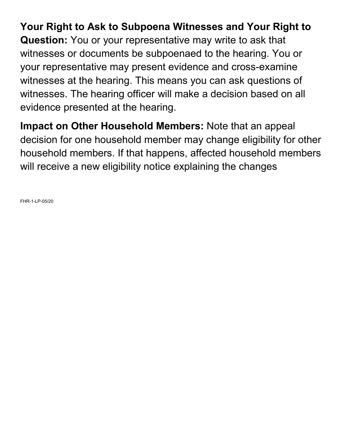### **Your Right to Ask to Subpoena Witnesses and Your Right to**

**Question:** You or your representative may write to ask that witnesses or documents be subpoenaed to the hearing. You or your representative may present evidence and cross-examine witnesses at the hearing. This means you can ask questions of witnesses. The hearing officer will make a decision based on all evidence presented at the hearing.

**Impact on Other Household Members:** Note that an appeal decision for one household member may change eligibility for other household members. If that happens, affected household members will receive a new eligibility notice explaining the changes

FHR-1-LP-05/20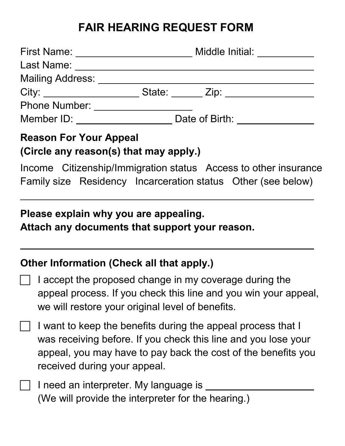## **FAIR HEARING REQUEST FORM**

| <b>First Name:</b>   | Middle Initial: |  |
|----------------------|-----------------|--|
| Last Name:           |                 |  |
| Mailing Address:     |                 |  |
|                      | State: Zip:     |  |
| <b>Phone Number:</b> |                 |  |
| Member ID:           | Date of Birth:  |  |

#### **Reason For Your Appeal (Circle any reason(s) that may apply.)**

Income Citizenship/Immigration status Access to other insurance Family size Residency Incarceration status Other (see below)

#### **Please explain why you are appealing.**

**Attach any documents that support your reason.**

#### **Other Information (Check all that apply.)**

- I accept the proposed change in my coverage during the appeal process. If you check this line and you win your appeal, we will restore your original level of benefits.
- I want to keep the benefits during the appeal process that I was receiving before. If you check this line and you lose your appeal, you may have to pay back the cost of the benefits you received during your appeal.
- I need an interpreter. My language is \_\_ (We will provide the interpreter for the hearing.)